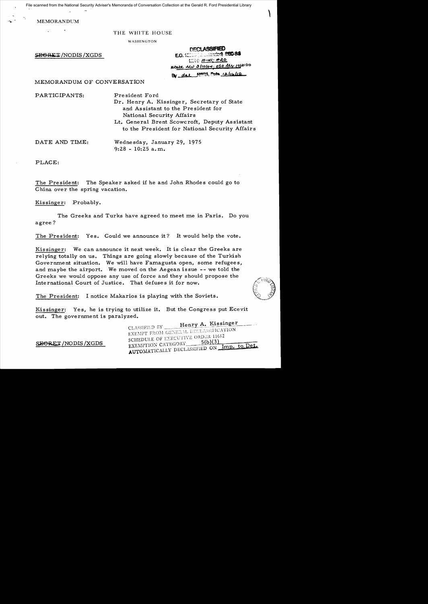File scanned from the National Security Adviser's Memoranda of Conversation Collection at the Gerald R. Ford Presidential Library

MEMORANDUM

# THE WHITE HOUSE

WASHINGTON

SEGRET/NODIS/XGDS

| <b>DECLASSIFIED</b>                 |                           |
|-------------------------------------|---------------------------|
| <b>EO.</b> 12003 (columnster) 98088 |                           |
|                                     | MAO 10-ML P20             |
| Rtate te 3/10/04:050 les 10/21/10   |                           |
|                                     | By dal MARA Poto valualle |

MEMORANDUM OF CONVERSATION

PARTICIPANTS: President Ford

Dr. Henry A. Kissinger, Secretary of State and As sistant to the Pre sident for National Security Affairs Lt. General Brent Scowcroft, Deputy Assistant to the President for National Security Affairs

DATE AND TIME: Wednesday, January 29, 1975  $9:28 - 10:25$  a.m.

PLACE:

The President: The Speaker asked if he and John Rhodes could go to China over the spring vacation.

Kissinger: Probably.

The Greeks and Turks have agreed to meet me in Paris. Do you agree?

The President: Yes. Could we announce it? It would help the vote.

Kissinger: We can announce it next week. It is clear the Greeks are relying totally on us. Things are going slowly because of the Turkish Government situation. We will have Famagusta open, some refugees, and maybe the airport. We moved on the Aegean is sue -- we told the Greeks we would oppose any use of force and *they* should propose the International Court of Justice. That defuses it for now.



 $\overline{1}$ 

The President: I notice Makarios is playing with the Soviets.

Kissinger: Yes, he is trying to utilize it. But the Congress put Ecevit out. The government is paralyzed.

> Henry A. Kissinger CLASSIFIED BY\_ CLASSIFIED BY THEIR PECLASSIFICATION<br>EXEMPT FROM GENERAL DECLASSIFICATION SCHEDULE OF EXECUTIVE ORDER 11652 EXEMPTION CATEGORY  $5(b)(3)$ EXEMPTION CATEGORY 500137 Imp. to Det.

SEGRET/NODIS/XGDS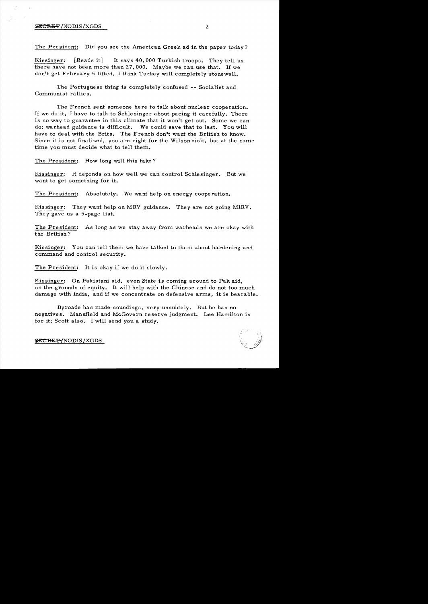#### $S$ ECRET/NODIS/XGDS  $2$

The President: Did you see the American Greek ad in the paper today?

Kissinger: [Reads it] It says 40,000 Turkish troops. They tell us there have not been more than 27,000. Maybe we can use that. If we don't get February 5 lifted, I think Turkey will completely stonewall.

The Portuguese thing is completely confused -- Socialist and Communist rallies.

The French sent someone here to talk about nuclear cooperation. If we do it, I have to talk to Schlesinger about pacing it carefully. There is no way to guarantee in this climate that it won't get out. Some we can do; warhead guidance is difficult. We could save that to last. You will have to deal with the Brits. The French don't want the British to know. Since it is not finalized, you are right for the Wilson visit, but at the same time you must decide what to tell them.

The President: How long will this take?

Kissinger: It depends on how well we can control Schlesinger. But we want to get something for it.

The President: Absolutely. We want help on energy cooperation.

Kissinger: They want help on MRV guidance. They are not going MIRV. They gave us a 5-page list.

The President: As long as we stay away from warheads we are okay with the British?

Kissinger: You can tell them we have talked to them about hardening and command and control security.

The President: It is okay if we do it slowly.

Kissinger: On Pakistani aid, even State is coming around to Pak aid, on the grounds of equity. It will help with the Chinese and do not too much damage with India, and if we concentrate on defensive arms, it is bearable.

Byroade has made soundings, very unsubtely. But he has no negatives. Mansfield and McGovern reserve judgment. Lee Hamilton is for it; Scott also. I will send you a study.



**SECRET-/NODIS/XGDS**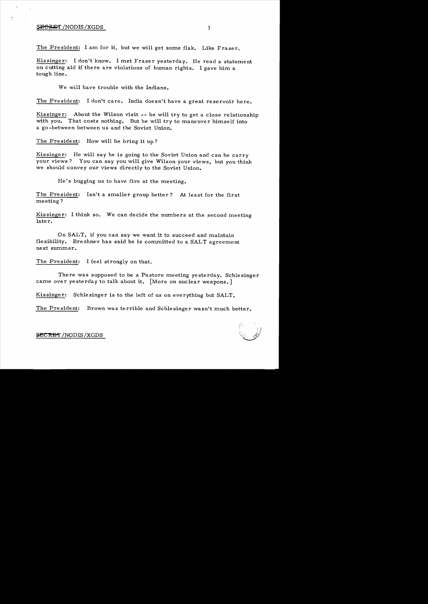## **SEGRET / NODIS / XGDS**

The President: I am for it, but we will get some flak. Like Fraser.

Kissinger: I don't know. I met Fraser yesterday. He read a statement on cutting aid if there are violations of human rights. I gave him a tough line.

We will have trouble with the Indians.

The President: I don't care. India doesn't have a great reservoir here.

Kissinger: About the Wilson visit -- he will try to get a close relationship with *you.* That costs nothing. But he will try to maneuver himself into a go-between between us and the Soviet Union.

The President: How will he bring it up?

Kissinger: He will say he is going to the Soviet Union and can he carry your views? You can say *you* will give Wilson your views, but *you* think we should convey our views directly to the Soviet Union.

He's bugging us to have five at the meeting.

The President: Isn't a smaller group better? At least for the first meeting?

Kissinger: I think so. We can decide the numbers at the second meeting later.

On SALT, if *you* can say we want it to succeed and maintain flexibility. Brezhnev has said he is committed to a SALT agreement next summer.

The President: I feel strongly on that.

There was supposed to be a Pastore meeting yesterday. Schlesinger came over yesterday to talk about it. [More on nuclear weapons.]

Kissinger: Schlesinger is to the left of us on everything but SALT.

The President: Brown was terrible and Schlesinger wasn't much better.

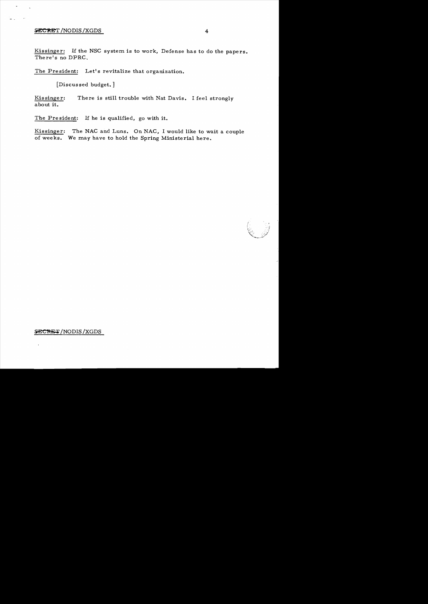## **SECRET /NODIS /XGDS**

Kissinger: If the NSC system is to work, Defense has to do the papers. There's no DPRG.

The President: Let's revitalize that organization.

[Discus sed budget. ]

Kissinger: There is still trouble with Nat Davis. I feel strongly about it.

The President: If he is qualified, go with it.

Kissinger: The NAG and Luns. On NAG, I would like to wait a couple of weeks. We may have to hold the Spring Ministerial here.

## SECRET/NODIS/XGDS

 $\lambda$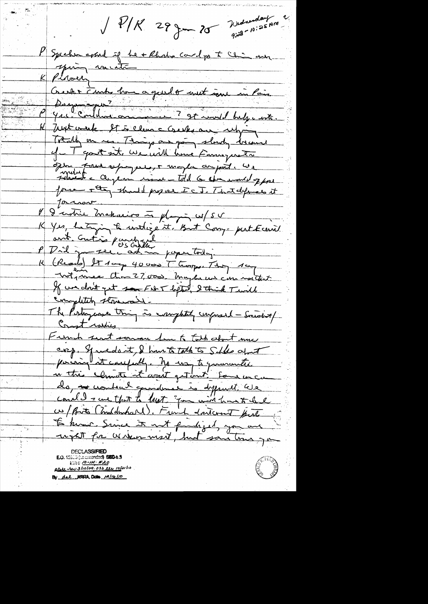Wednesday ~  $\sqrt{P/K}$  29 June 20  $9.28 - 10.25$  PM P Spechen avant of Le + Rhodo card po to Chin aux K Just week It is clean a creeks our relying Totally on mes. Though an going slowly doesn't of T good at We will have Farmy wets opton para supressor to maybe an pit. We Journal Marin de proposition de la Thatalpier et  $\mathfrak{C}_+$ K Yes, Letzin à intégént. But Conge put Ecenie K (Read) It 100p 40000 Thomps. They 10y Wit, me don't so 27,000 my hus can nother Const raskies French seat somme har to talk about muc crep. Spredo it, & hunt talk to Solle afmit pairing it caupably. No way to governmenter en this climate at agait get out some un can 医鼻炎 do, <del>ne</del> contrat grandme is dispuit le le w/Brito (Indebuhard), Furich doutcount put to know Since it not fundiged, you are went for wrong mest, but san time you **MAN 10-111-1520** ptake crew 3/10/04.050 lts 10/21/10 By dal STERA, Deta 12/16/10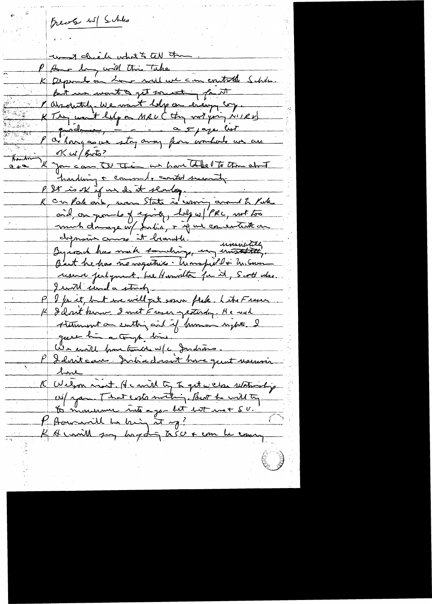freely wil Schles want chick what to tell the l'Au deux mil Avis Takes P American will this Take But we wont to get someting for it Narohatche We want help on every cop. K They went help on Meu (they with juice) ok w/futo? I you can the the as have tobe to the about harding + commode contot second P 25 is ok if us de it sender.<br>K can Pahaik, was State is warring around to Pake and on grounds of equity, holy w/ PRC, not too mich dans je w/ John, + if we concentrate on But he has no negatives . Unspellt Uncom reserve perhyment, been themselton for it, Scott also. Iwill send a study. P I for it, but we will get sown flake. Lite France K I dont kinn I met Frager gesterdag. He wal Automent au centre aid if hommen nights. I We mail prometimed w/c Indians. P Ideniteau Donnadournt house quat reservoir <u> 1 me</u> K Welson most He with ty To get we clear selationship W/ your That ents mating, But he will to O Amondanne into a go-bet 1 et mot SV.